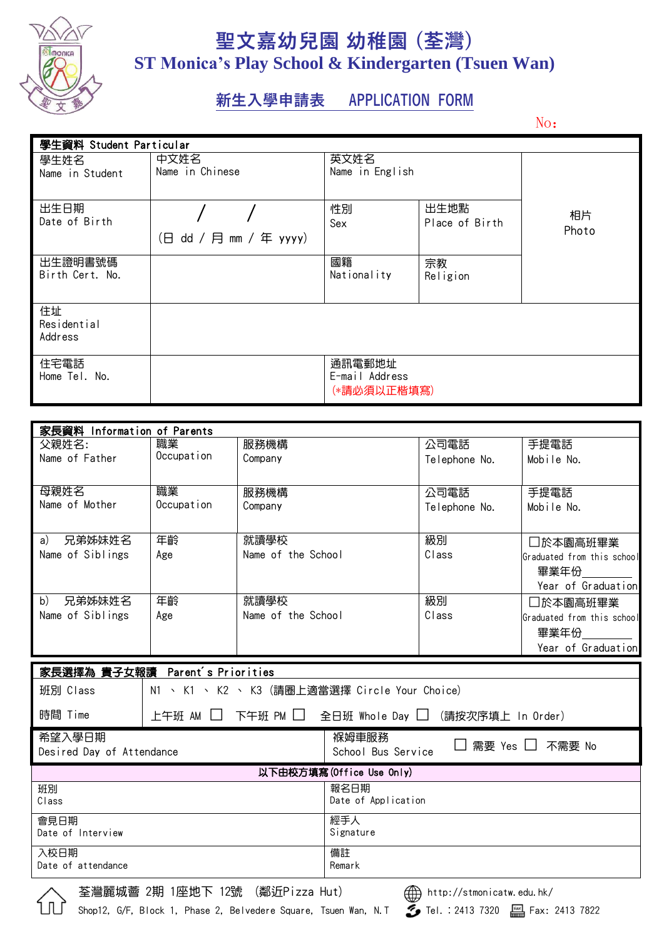

## **聖文嘉幼兒園 幼稚園 (荃灣) ST Monica's Play School & Kindergarten (Tsuen Wan)**

## **新生入學申請表 APPLICATION FORM**

No:

| 學生資料 Student Particular      |                         |                                         |                        |             |  |
|------------------------------|-------------------------|-----------------------------------------|------------------------|-------------|--|
| 學生姓名<br>Name in Student      | 中文姓名<br>Name in Chinese | 英文姓名<br>Name in English                 |                        |             |  |
| 出生日期<br>Date of Birth        | (日 dd / 月 mm / 年 yyyy)  | 性別<br>Sex                               | 出生地點<br>Place of Birth | 相片<br>Photo |  |
| 出生證明書號碼<br>Birth Cert. No.   |                         | 國籍<br>Nationality                       | 宗教<br>Religion         |             |  |
| 住址<br>Residential<br>Address |                         |                                         |                        |             |  |
| 住宅電話<br>Home Tel. No.        |                         | 通訊電郵地址<br>E-mail Address<br>(*請必須以正楷填寫) |                        |             |  |

| 家長資料 Information of Parents |            |                    |               |                            |  |
|-----------------------------|------------|--------------------|---------------|----------------------------|--|
| 父親姓名:                       | 職業         | 服務機構               | 公司電話          | 手提電話                       |  |
| Name of Father              | Occupation | Company            | Telephone No. | Mobile No.                 |  |
|                             |            |                    |               |                            |  |
| 母親姓名                        | 職業         | 服務機構               | 公司電話          | 手提電話                       |  |
| Name of Mother              | Occupation | Company            | Telephone No. | Mobile No.                 |  |
|                             |            |                    |               |                            |  |
| 兄弟姊妹姓名<br>a)                | 年齡         | 就讀學校               | 級別            | □於本園高班畢業                   |  |
| Name of Siblings            | Age        | Name of the School | Class         | Graduated from this school |  |
|                             |            |                    |               | 畢業年份                       |  |
|                             |            |                    |               | Year of Graduation         |  |
| b)<br>兄弟姊妹姓名                | 年齡         | 就讀學校               | 級別            | □於本園高班畢業                   |  |
| Name of Siblings            | Age        | Name of the School | Class         | Graduated from this school |  |
|                             |            |                    |               | 畢業年份                       |  |
|                             |            |                    |               | Year of Graduation         |  |

| 家長選擇為 貴子女報讀 Parent's Priorities                          |                                                  |                                                     |  |  |
|----------------------------------------------------------|--------------------------------------------------|-----------------------------------------------------|--|--|
| 班別 Class                                                 | ヽ K1 ヽ K2 ヽ K3(請圏上適當選擇 Circle Your Choice)<br>N1 |                                                     |  |  |
| 時間 Time                                                  |                                                  | 上午班 AM □ 下午班 PM □ 全日班 Whole Day □ (請按次序填上 In Order) |  |  |
| 希望入學日期<br>Desired Day of Attendance                      |                                                  | 褓姆車服務<br>□ 需要 Yes □ 不需要 No<br>School Bus Service    |  |  |
| 以下由校方填寫 (Office Use Only)                                |                                                  |                                                     |  |  |
| 班別<br>Class                                              |                                                  | 報名日期<br>Date of Application                         |  |  |
| 會見日期<br>Date of Interview                                |                                                  | 經手人<br>Signature                                    |  |  |
| 入校日期<br>Date of attendance                               |                                                  | 備註<br>Remark                                        |  |  |
| $\sqrt{2}$<br>艾絲零は孝 0世 1応地下 10時 (米戊C---。 15.4)<br>$\sim$ |                                                  |                                                     |  |  |

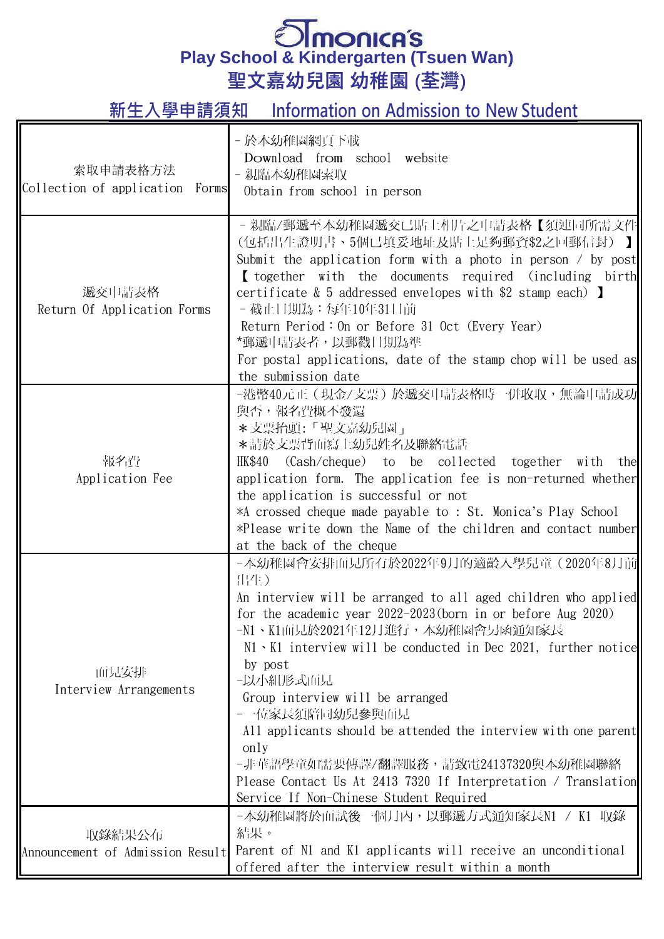## **Play School & Kindergarten (Tsuen Wan) 聖文嘉幼兒園 幼稚園 (荃灣)**

**新生入學申請須知 Information on Admission to New Student**

| 索取申請表格方法<br>Collection of application Forms | - 於本幼稚園網頁下載<br>Download from school website<br>- 親臨本幼稚園索取<br>Obtain from school in person                                                                                                                                                                                                                                                                                                                                                                                                                                                                                                                   |
|---------------------------------------------|-------------------------------------------------------------------------------------------------------------------------------------------------------------------------------------------------------------------------------------------------------------------------------------------------------------------------------------------------------------------------------------------------------------------------------------------------------------------------------------------------------------------------------------------------------------------------------------------------------------|
| 遞交申請表格<br>Return Of Application Forms       | - 親臨/郵遞至本幼稚園遞交已貼上相片之申請表格【須連同所需文件<br>(包括出生證明書、5個已填妥地址及貼上足夠郵資\$2之回郵信封) 】<br>Submit the application form with a photo in person $\prime$ by post<br>I together with the documents required (including birth<br>certificate $\&$ 5 addressed envelopes with \$2 stamp each) ]<br>- 截止日期為:每年10年31日前<br>Return Period: On or Before 31 Oct (Every Year)<br>*郵遞申請表者,以郵戳日期為準<br>For postal applications, date of the stamp chop will be used as<br>the submission date                                                                                                                                              |
| 報名費<br>Application Fee                      | -港幣40元正(現金/支票)於遞交申請表格時一併收取,無論申請成功<br>與否,報名費概不發還<br>*支票抬頭:「聖文嘉幼兒園」<br>*請於支票背面寫上幼兒姓名及聯絡電話<br>HK\$40 (Cash/cheque) to be collected together with<br>the<br>application form. The application fee is non-returned whether<br>the application is successful or not<br>*A crossed cheque made payable to : St. Monica's Play School<br>*Please write down the Name of the children and contact number<br>at the back of the cheque                                                                                                                                                                                |
| 面見安排<br>Interview Arrangements              | -本幼稚園會安排面見所有於2022年9月的適齡入學兒童(2020年8月前 <br>出生)<br>An interview will be arranged to all aged children who applied<br>for the academic year $2022-2023$ (born in or before Aug $2020$ )<br>-N1、K1面見於2021年12月進行,本幼稚園會另函通知家長<br>$N1 \cdot K1$ interview will be conducted in Dec 2021, further notice<br>by post<br>-以小組形式面見<br>Group interview will be arranged<br>-一位家長須陪同幼兒參與面見<br>All applicants should be attended the interview with one parent<br>only<br>-非華語學童如需要傳譯/翻譯服務,請致電24137320與本幼稚園聯絡<br>Please Contact Us At 2413 7320 If Interpretation / Translation<br>Service If Non-Chinese Student Required |
| 取錄結果公布<br>Announcement of Admission Result  | -本幼稚園將於面試後一個月內,以郵遞方式通知家長N1 / K1 取錄<br>結果。<br>Parent of N1 and K1 applicants will receive an unconditional<br>offered after the interview result within a month                                                                                                                                                                                                                                                                                                                                                                                                                                              |